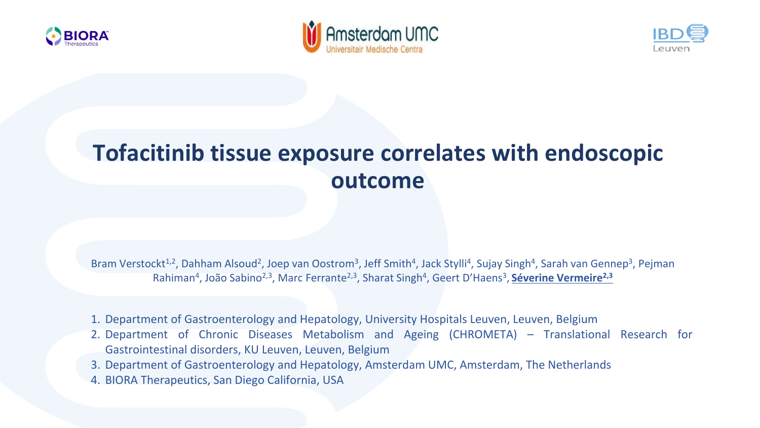





# **Tofacitinib tissue exposure correlates with endoscopic outcome**

Bram Verstockt<sup>1,2</sup>, Dahham Alsoud<sup>2</sup>, Joep van Oostrom<sup>3</sup>, Jeff Smith<sup>4</sup>, Jack Stylli<sup>4</sup>, Sujay Singh<sup>4</sup>, Sarah van Gennep<sup>3</sup>, Pejman Rahiman<sup>4</sup>, João Sabino<sup>2,3</sup>, Marc Ferrante<sup>2,3</sup>, Sharat Singh<sup>4</sup>, Geert D'Haens<sup>3</sup>, Séverine Vermeire<sup>2,3</sup>

- 1. Department of Gastroenterology and Hepatology, University Hospitals Leuven, Leuven, Belgium
- 2. Department of Chronic Diseases Metabolism and Ageing (CHROMETA) Translational Research for Gastrointestinal disorders, KU Leuven, Leuven, Belgium
- 3. Department of Gastroenterology and Hepatology, Amsterdam UMC, Amsterdam, The Netherlands
- 4. BIORA Therapeutics, San Diego California, USA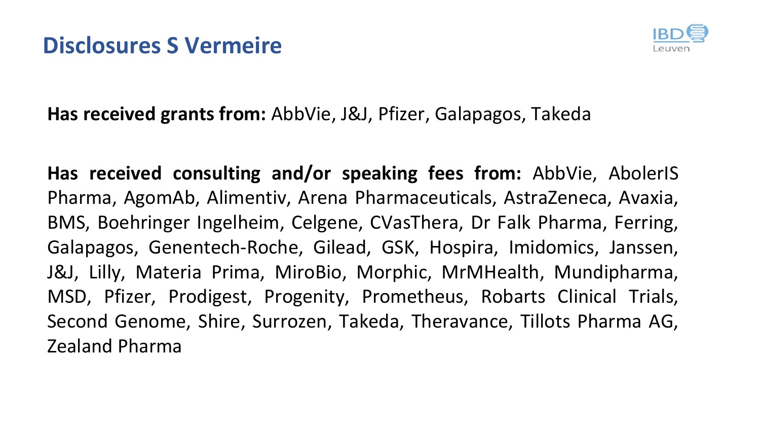

#### **Has received grants from:** AbbVie, J&J, Pfizer, Galapagos, Takeda

**Has received consulting and/or speaking fees from:** AbbVie, AbolerIS Pharma, AgomAb, Alimentiv, Arena Pharmaceuticals, AstraZeneca, Avaxia, BMS, Boehringer Ingelheim, Celgene, CVasThera, Dr Falk Pharma, Ferring, Galapagos, Genentech-Roche, Gilead, GSK, Hospira, Imidomics, Janssen, J&J, Lilly, Materia Prima, MiroBio, Morphic, MrMHealth, Mundipharma, MSD, Pfizer, Prodigest, Progenity, Prometheus, Robarts Clinical Trials, Second Genome, Shire, Surrozen, Takeda, Theravance, Tillots Pharma AG, Zealand Pharma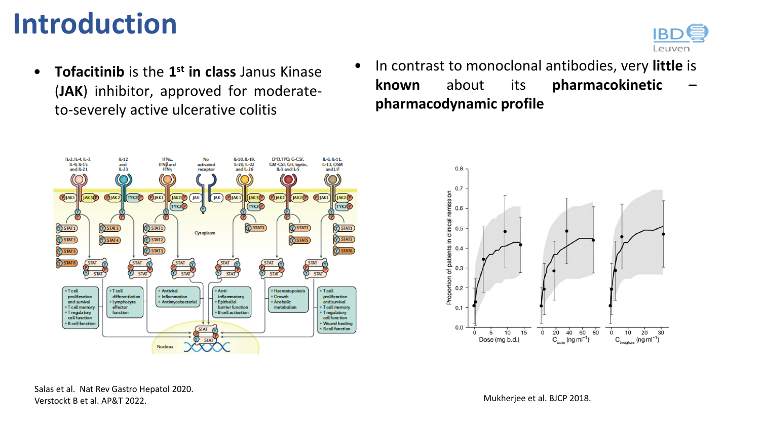# **Introduction**



• **Tofacitinib** is the **1st in class** Janus Kinase (**JAK**) inhibitor, approved for moderateto-severely active ulcerative colitis



• In contrast to monoclonal antibodies, very **little** is **known** about its **pharmacokinetic – pharmacodynamic profile**



Salas et al. Nat Rev Gastro Hepatol 2020. Verstockt B et al. AP&T 2022.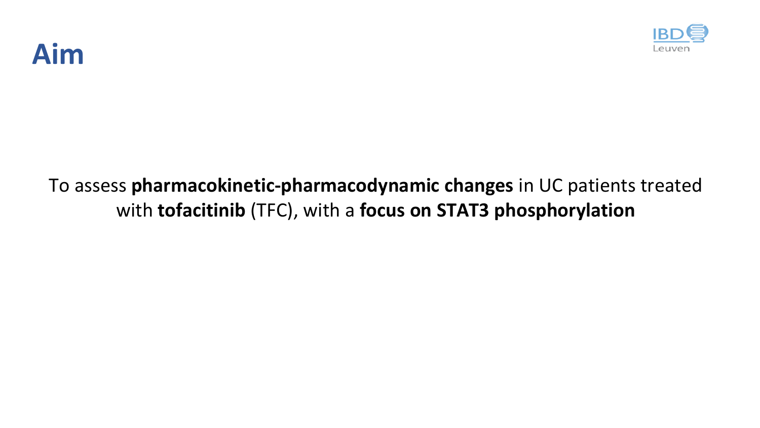

# **Aim**

### To assess **pharmacokinetic-pharmacodynamic changes** in UC patients treated with **tofacitinib** (TFC), with a **focus on STAT3 phosphorylation**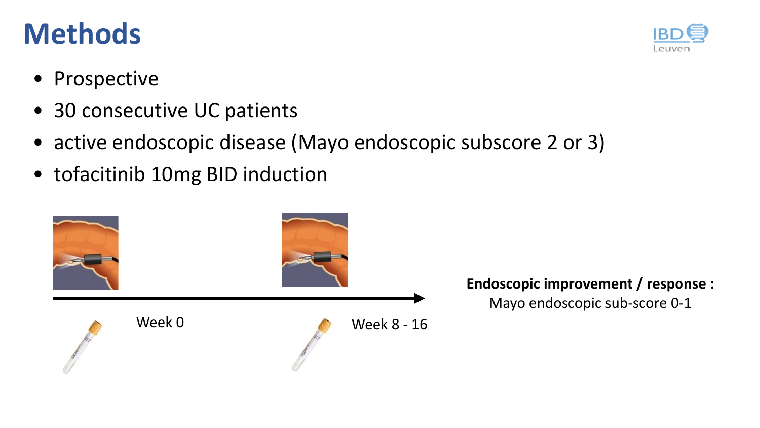# **Methods**

Leuven

- Prospective
- 30 consecutive UC patients
- active endoscopic disease (Mayo endoscopic subscore 2 or 3)
- tofacitinib 10mg BID induction

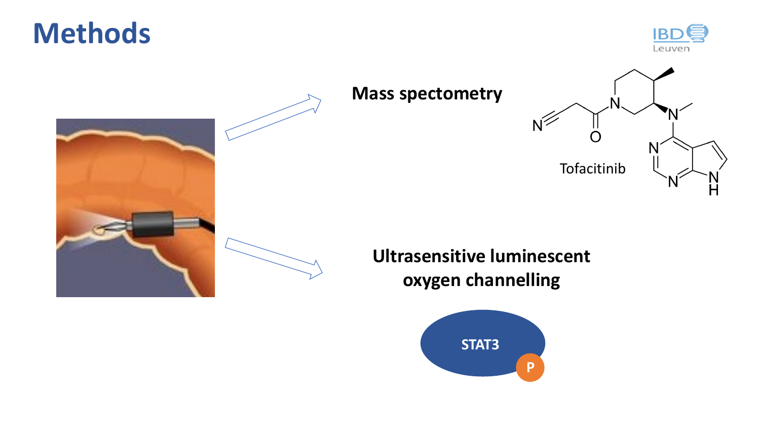**Methods**





## **Mass spectometry**  N N Tofacitinib H

#### **Ultrasensitive luminescent oxygen channelling**

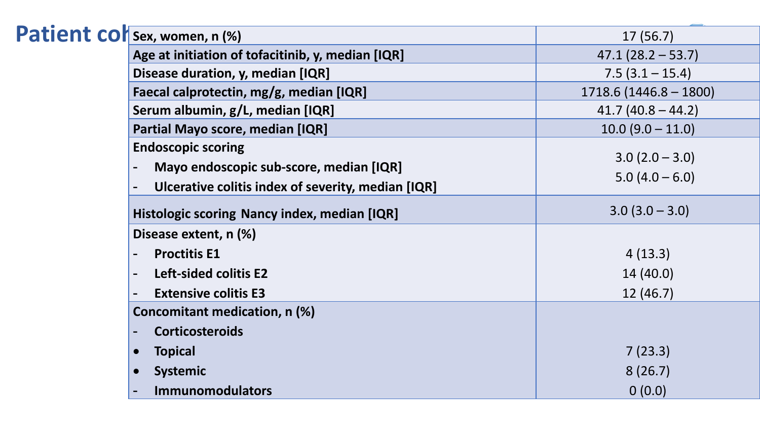|  | Patient colsex, women, n (%)                                         | 17(56.7)                           |
|--|----------------------------------------------------------------------|------------------------------------|
|  | Age at initiation of tofacitinib, y, median [IQR]                    | $47.1(28.2 - 53.7)$                |
|  | Disease duration, y, median [IQR]                                    | $7.5(3.1 - 15.4)$                  |
|  | Faecal calprotectin, mg/g, median [IQR]                              | $1718.6(1446.8 - 1800)$            |
|  | Serum albumin, g/L, median [IQR]                                     | $41.7(40.8 - 44.2)$                |
|  | Partial Mayo score, median [IQR]                                     | $10.0 (9.0 - 11.0)$                |
|  | <b>Endoscopic scoring</b><br>Mayo endoscopic sub-score, median [IQR] | $3.0(2.0-3.0)$<br>$5.0(4.0 - 6.0)$ |
|  | Ulcerative colitis index of severity, median [IQR]                   |                                    |
|  | Histologic scoring Nancy index, median [IQR]                         | $3.0(3.0 - 3.0)$                   |
|  | Disease extent, n (%)                                                |                                    |
|  | <b>Proctitis E1</b>                                                  | 4(13.3)                            |
|  | Left-sided colitis E2                                                | 14(40.0)                           |
|  | <b>Extensive colitis E3</b>                                          | 12(46.7)                           |
|  | Concomitant medication, n (%)                                        |                                    |
|  | <b>Corticosteroids</b>                                               |                                    |
|  | <b>Topical</b>                                                       | 7(23.3)                            |
|  | <b>Systemic</b>                                                      | 8(26.7)                            |
|  | <b>Immunomodulators</b>                                              | 0(0.0)                             |
|  |                                                                      |                                    |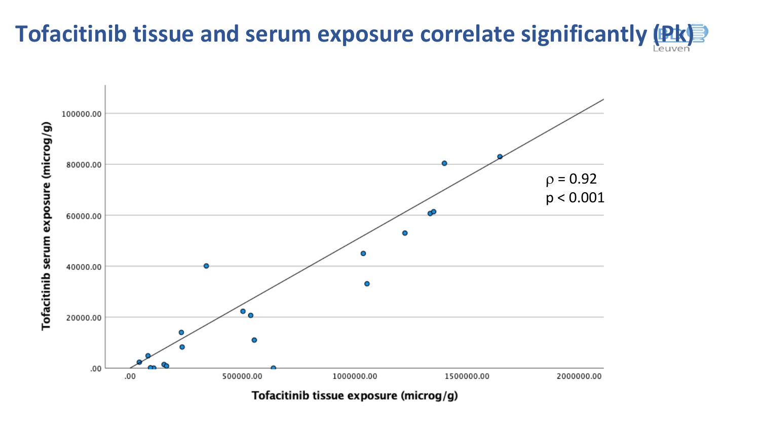# Tofacitinib tissue and serum exposure correlate significantly (*Pk)*

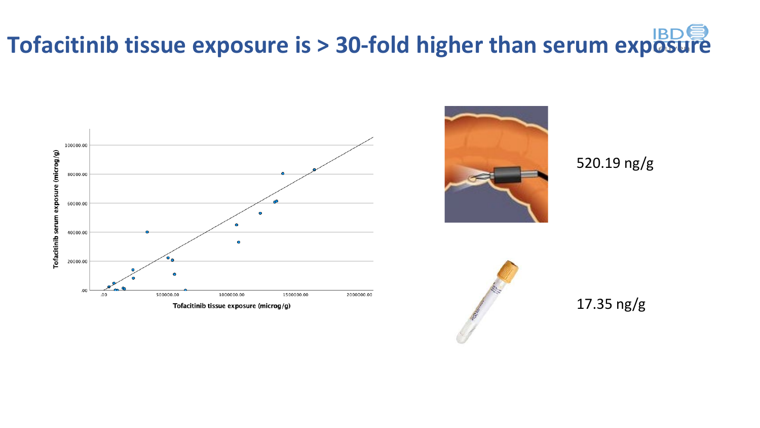# **Tofacitinib tissue exposure is > 30-fold higher than serum exposure**





520.19 ng/g



17.35 ng/g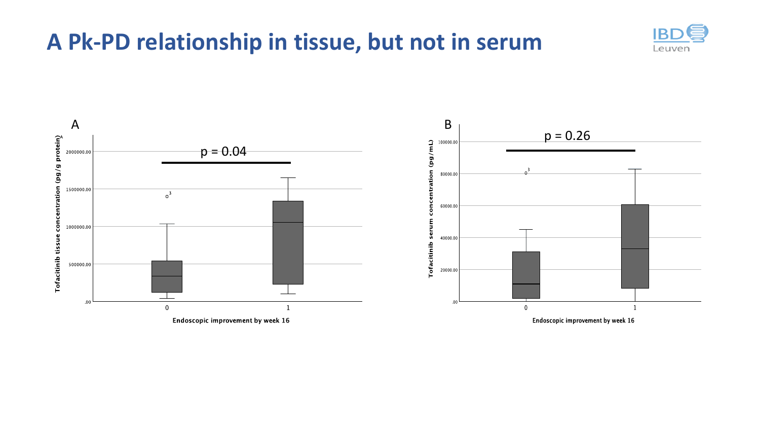## **A Pk-PD relationship in tissue, but not in serum**



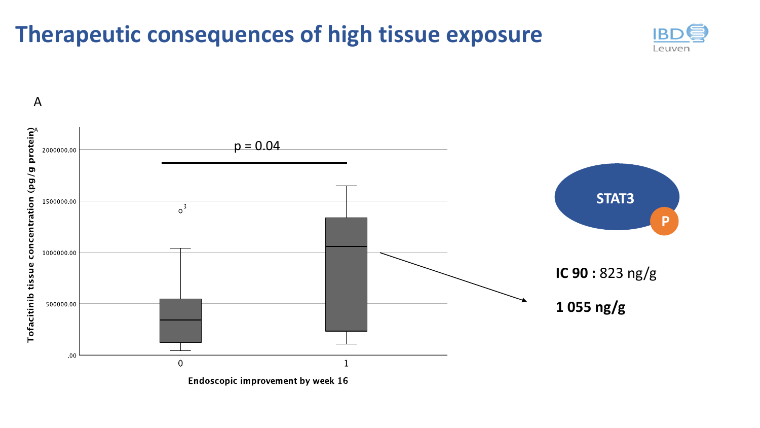## **Therapeutic consequences of high tissue exposure**



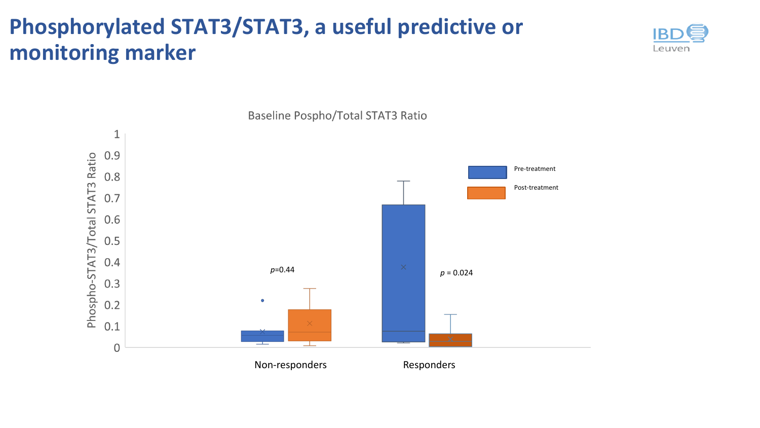## **Phosphorylated STAT3/STAT3, a useful predictive or monitoring marker**





Baseline Pospho/Total STAT3 Ratio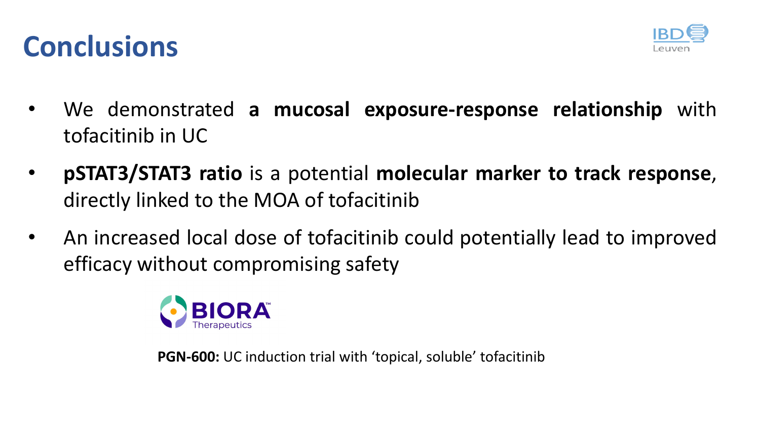



- We demonstrated **a mucosal exposure-response relationship** with tofacitinib in UC
- **pSTAT3/STAT3 ratio** is a potential **molecular marker to track response**, directly linked to the MOA of tofacitinib
- An increased local dose of tofacitinib could potentially lead to improved efficacy without compromising safety



**PGN-600:** UC induction trial with 'topical, soluble' tofacitinib